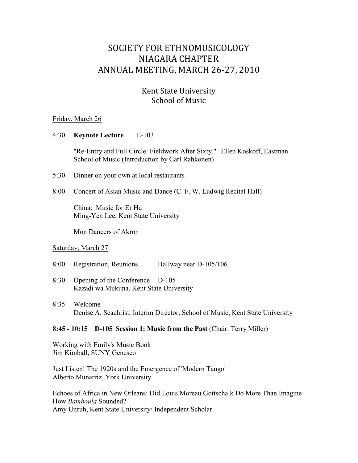# SOCIETY FOR ETHNOMUSICOLOGY NIAGARA CHAPTER ANNUAL MEETING, MARCH 26-27, 2010

## Kent State University School of Music

#### Friday, March 26

#### 4:30 **Keynote Lecture** E-103

"Re-Entry and Full Circle: Fieldwork After Sixty," Ellen Koskoff, Eastman School of Music (Introduction by Carl Rahkonen)

- 5:30 Dinner on your own at local restaurants
- 8:00 Concert of Asian Music and Dance (C. F. W. Ludwig Recital Hall)

China: Music for Er Hu Ming-Yen Lee, Kent State University

Mon Dancers of Akron

#### Saturday, March 27

- 8:00 Registration, Reunions Hallway near D-105/106
- 8:30 Opening of the Conference D-105 Kazadi wa Mukuna, Kent State University
- 8:35 Welcome Denise A. Seachrist, Interim Director, School of Music, Kent State University

#### **8:45 - 10:15 D-105 Session 1: Music from the Past** (Chair: Terry Miller)

Working with Emily's Music Book Jim Kimball, SUNY Geneseo

Just Listen! The 1920s and the Emergence of 'Modern Tango' Alberto Munarriz, York University

Echoes of Africa in New Orleans: Did Louis Moreau Gottschalk Do More Than Imagine How *Bamboula* Sounded? Amy Unruh, Kent State University/ Independent Scholar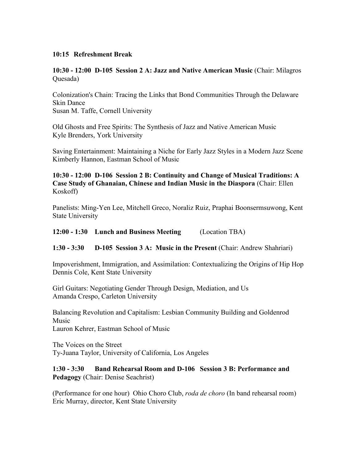#### **10:15 Refreshment Break**

**10:30 - 12:00 D-105 Session 2 A: Jazz and Native American Music** (Chair: Milagros Quesada)

Colonization's Chain: Tracing the Links that Bond Communities Through the Delaware Skin Dance Susan M. Taffe, Cornell University

Old Ghosts and Free Spirits: The Synthesis of Jazz and Native American Music Kyle Brenders, York University

Saving Entertainment: Maintaining a Niche for Early Jazz Styles in a Modern Jazz Scene Kimberly Hannon, Eastman School of Music

## **10:30 - 12:00 D-106 Session 2 B: Continuity and Change of Musical Traditions: A Case Study of Ghanaian, Chinese and Indian Music in the Diaspora** (Chair: Ellen Koskoff)

Panelists: Ming-Yen Lee, Mitchell Greco, Noraliz Ruiz, Praphai Boonsermsuwong, Kent State University

**12:00 - 1:30 Lunch and Business Meeting** (Location TBA)

**1:30 - 3:30 D-105 Session 3 A: Music in the Present** (Chair: Andrew Shahriari)

Impoverishment, Immigration, and Assimilation: Contextualizing the Origins of Hip Hop Dennis Cole, Kent State University

Girl Guitars: Negotiating Gender Through Design, Mediation, and Us Amanda Crespo, Carleton University

Balancing Revolution and Capitalism: Lesbian Community Building and Goldenrod Music Lauron Kehrer, Eastman School of Music

The Voices on the Street Ty-Juana Taylor, University of California, Los Angeles

**1:30 - 3:30 Band Rehearsal Room and D-106 Session 3 B: Performance and Pedagogy** (Chair: Denise Seachrist)

(Performance for one hour) Ohio Choro Club, *roda de choro* (In band rehearsal room) Eric Murray, director, Kent State University